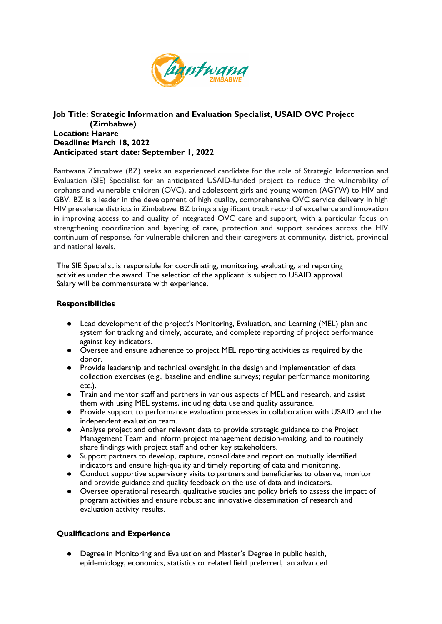

## **Job Title: Strategic Information and Evaluation Specialist, USAID OVC Project (Zimbabwe) Location: Harare Deadline: March 18, 2022 Anticipated start date: September 1, 2022**

Bantwana Zimbabwe (BZ) seeks an experienced candidate for the role of Strategic Information and Evaluation (SIE) Specialist for an anticipated USAID-funded project to reduce the vulnerability of orphans and vulnerable children (OVC), and adolescent girls and young women (AGYW) to HIV and GBV. BZ is a leader in the development of high quality, comprehensive OVC service delivery in high HIV prevalence districts in Zimbabwe. BZ brings a significant track record of excellence and innovation in improving access to and quality of integrated OVC care and support, with a particular focus on strengthening coordination and layering of care, protection and support services across the HIV continuum of response, for vulnerable children and their caregivers at community, district, provincial and national levels.

The SIE Specialist is responsible for coordinating, monitoring, evaluating, and reporting activities under the award. The selection of the applicant is subject to USAID approval. Salary will be commensurate with experience.

## **Responsibilities**

- Lead development of the project's Monitoring, Evaluation, and Learning (MEL) plan and system for tracking and timely, accurate, and complete reporting of project performance against key indicators.
- Oversee and ensure adherence to project MEL reporting activities as required by the donor.
- Provide leadership and technical oversight in the design and implementation of data collection exercises (e.g., baseline and endline surveys; regular performance monitoring, etc.).
- Train and mentor staff and partners in various aspects of MEL and research, and assist them with using MEL systems, including data use and quality assurance.
- Provide support to performance evaluation processes in collaboration with USAID and the independent evaluation team.
- Analyse project and other relevant data to provide strategic guidance to the Project Management Team and inform project management decision-making, and to routinely share findings with project staff and other key stakeholders.
- Support partners to develop, capture, consolidate and report on mutually identified indicators and ensure high-quality and timely reporting of data and monitoring.
- Conduct supportive supervisory visits to partners and beneficiaries to observe, monitor and provide guidance and quality feedback on the use of data and indicators.
- Oversee operational research, qualitative studies and policy briefs to assess the impact of program activities and ensure robust and innovative dissemination of research and evaluation activity results.

## **Qualifications and Experience**

● Degree in Monitoring and Evaluation and Master's Degree in public health, epidemiology, economics, statistics or related field preferred, an advanced